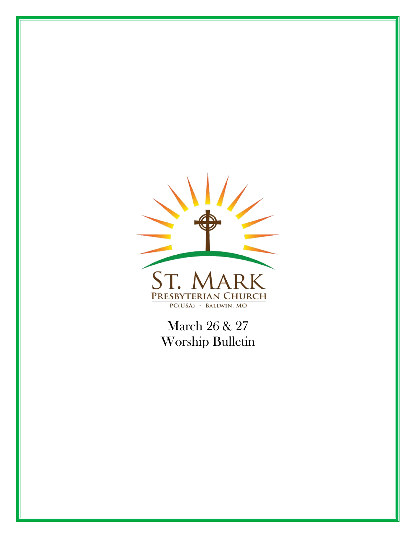

March 26 & 27 Worship Bulletin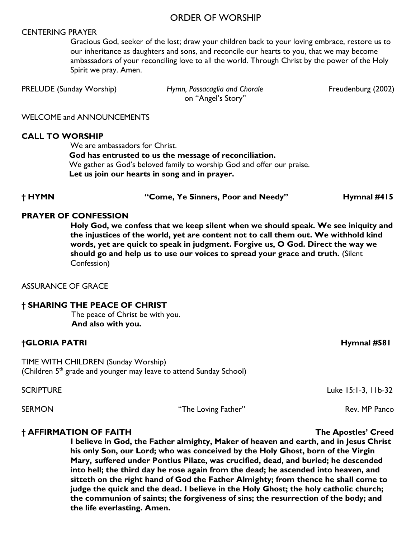#### ORDER OF WORSHIP

#### CENTERING PRAYER

Gracious God, seeker of the lost; draw your children back to your loving embrace, restore us to our inheritance as daughters and sons, and reconcile our hearts to you, that we may become ambassadors of your reconciling love to all the world. Through Christ by the power of the Holy Spirit we pray. Amen.

PRELUDE (Sunday Worship) *Hymn, Passacaglia and Chorale* **Finding (2002)** Freudenburg (2002)

on "Angel's Story"

WELCOME and ANNOUNCEMENTS

#### **CALL TO WORSHIP**

We are ambassadors for Christ.

 **God has entrusted to us the message of reconciliation.**  We gather as God's beloved family to worship God and offer our praise. **Let us join our hearts in song and in prayer.**

#### **† HYMN "Come, Ye Sinners, Poor and Needy" Hymnal #415**

#### **PRAYER OF CONFESSION**

**Holy God, we confess that we keep silent when we should speak. We see iniquity and the injustices of the world, yet are content not to call them out. We withhold kind words, yet are quick to speak in judgment. Forgive us, O God. Direct the way we should go and help us to use our voices to spread your grace and truth.** (Silent Confession)

#### ASSURANCE OF GRACE

#### **† SHARING THE PEACE OF CHRIST**

The peace of Christ be with you. **And also with you.**

#### **†GLORIA PATRI Hymnal #581**

TIME WITH CHILDREN (Sunday Worship) (Children  $5<sup>th</sup>$  grade and younger may leave to attend Sunday School)

SCRIPTURE Luke 15:1-3, 11b-32

SERMON The Loving Father" Rev. MP Panco

#### **† AFFIRMATION OF FAITH The Apostles' Creed**

**I believe in God, the Father almighty, Maker of heaven and earth, and in Jesus Christ his only Son, our Lord; who was conceived by the Holy Ghost, born of the Virgin Mary, suffered under Pontius Pilate, was crucified, dead, and buried; he descended into hell; the third day he rose again from the dead; he ascended into heaven, and sitteth on the right hand of God the Father Almighty; from thence he shall come to judge the quick and the dead. I believe in the Holy Ghost; the holy catholic church; the communion of saints; the forgiveness of sins; the resurrection of the body; and the life everlasting. Amen.**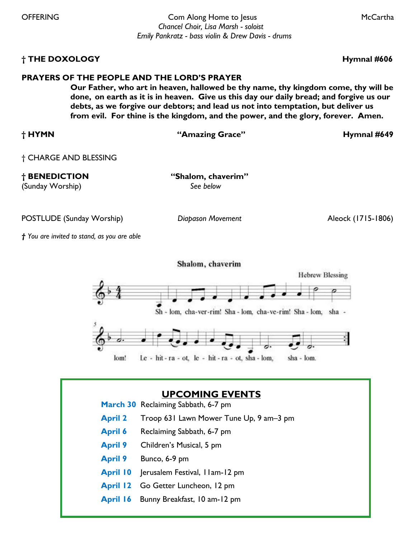OFFERING Com Along Home to Jesus McCartha *Chancel Choir, Lisa Marsh - soloist Emily Pankratz - bass violin & Drew Davis - drums*

#### **† THE DOXOLOGY Hymnal #606**

#### **PRAYERS OF THE PEOPLE AND THE LORD'S PRAYER**

**Our Father, who art in heaven, hallowed be thy name, thy kingdom come, thy will be done, on earth as it is in heaven. Give us this day our daily bread; and forgive us our debts, as we forgive our debtors; and lead us not into temptation, but deliver us from evil. For thine is the kingdom, and the power, and the glory, forever. Amen.** 

| † HYMN                | "Amazing Grace"    | Hymnal #649 |
|-----------------------|--------------------|-------------|
| † CHARGE AND BLESSING |                    |             |
| † BENEDICTION         | "Shalom, chaverim" |             |
| (Sunday Worship)      | See below          |             |

POSTLUDE (Sunday Worship) *Diapason Movement* Aleock (1715-1806)

*† You are invited to stand, as you are able* 



# **UPCOMING EVENTS**

- **March 30** Reclaiming Sabbath, 6-7 pm
- **April 2** Troop 631 Lawn Mower Tune Up, 9 am–3 pm
- **April 6** Reclaiming Sabbath, 6-7 pm
- **April 9** Children's Musical, 5 pm
- **April 9** Bunco, 6-9 pm

l

- **April 10** Jerusalem Festival, 11am-12 pm
- **April 12** Go Getter Luncheon, 12 pm
- **April 16** Bunny Breakfast, 10 am-12 pm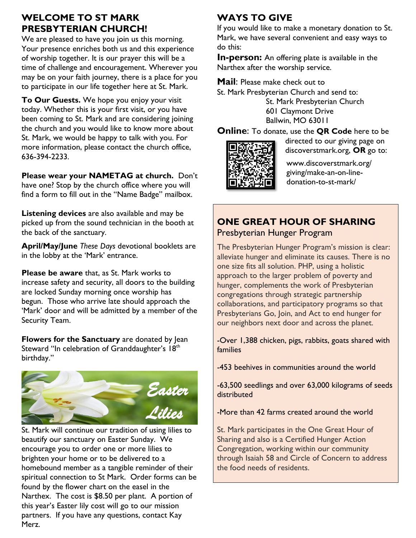## **WELCOME TO ST MARK PRESBYTERIAN CHURCH!**

We are pleased to have you join us this morning. Your presence enriches both us and this experience of worship together. It is our prayer this will be a time of challenge and encouragement. Wherever you may be on your faith journey, there is a place for you to participate in our life together here at St. Mark.

**To Our Guests.** We hope you enjoy your visit today. Whether this is your first visit, or you have been coming to St. Mark and are considering joining the church and you would like to know more about St. Mark, we would be happy to talk with you. For more information, please contact the church office, 636-394-2233.

**Please wear your NAMETAG at church.** Don't have one? Stop by the church office where you will find a form to fill out in the "Name Badge" mailbox.

**Listening devices** are also available and may be picked up from the sound technician in the booth at the back of the sanctuary.

**April/May/June** *These Days* devotional booklets are in the lobby at the 'Mark' entrance.

**Please be aware** that, as St. Mark works to increase safety and security, all doors to the building are locked Sunday morning once worship has begun. Those who arrive late should approach the 'Mark' door and will be admitted by a member of the Security Team.

**Flowers for the Sanctuary** are donated by Jean Steward "In celebration of Granddaughter's 18<sup>th</sup> birthday."



St. Mark will continue our tradition of using lilies to beautify our sanctuary on Easter Sunday. We encourage you to order one or more lilies to brighten your home or to be delivered to a homebound member as a tangible reminder of their spiritual connection to St Mark. Order forms can be found by the flower chart on the easel in the Narthex. The cost is \$8.50 per plant. A portion of this year's Easter lily cost will go to our mission partners. If you have any questions, contact Kay Merz.

# **WAYS TO GIVE**

If you would like to make a monetary donation to St. Mark, we have several convenient and easy ways to do this:

**In-person:** An offering plate is available in the Narthex after the worship service.

**Mail**: Please make check out to

St. Mark Presbyterian Church and send to:

St. Mark Presbyterian Church 601 Claymont Drive Ballwin, MO 63011

**Online**: To donate, use the **QR Code** here to be



directed to our giving page on discoverstmark.org, **OR** go to:

www.discoverstmark.org/ giving/make-an-on-linedonation-to-st-mark/

# **ONE GREAT HOUR OF SHARING** Presbyterian Hunger Program

The Presbyterian Hunger Program's mission is clear: alleviate hunger and eliminate its causes. There is no one size fits all solution. PHP, using a holistic approach to the larger problem of poverty and hunger, complements the work of Presbyterian congregations through strategic partnership collaborations, and participatory programs so that Presbyterians Go, Join, and Act to end hunger for our neighbors next door and across the planet.

-Over 1,388 chicken, pigs, rabbits, goats shared with families

-453 beehives in communities around the world

-63,500 seedlings and over 63,000 kilograms of seeds distributed

-More than 42 farms created around the world

St. Mark participates in the One Great Hour of Sharing and also is a Certified Hunger Action Congregation, working within our community through Isaiah 58 and Circle of Concern to address the food needs of residents.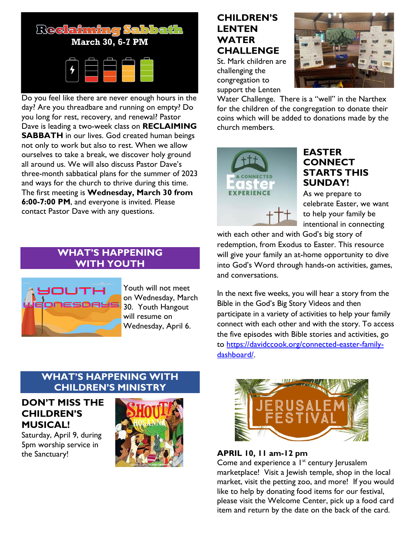

Do you feel like there are never enough hours in the day? Are you threadbare and running on empty? Do you long for rest, recovery, and renewal? Pastor Dave is leading a two-week class on **RECLAIMING SABBATH** in our lives. God created human beings not only to work but also to rest. When we allow ourselves to take a break, we discover holy ground all around us. We will also discuss Pastor Dave's three-month sabbatical plans for the summer of 2023 and ways for the church to thrive during this time. The first meeting is **Wednesday, March 30 from 6:00-7:00 PM**, and everyone is invited. Please contact Pastor Dave with any questions.

## **WHAT'S HAPPENING WITH YOUTH**



Youth will not meet on Wednesday, March 30. Youth Hangout will resume on Wednesday, April 6.

### **WHAT'S HAPPENING WITH CHILDREN'S MINISTRY**

### **DON'T MISS THE CHILDREN'S MUSICAL!**

Saturday, April 9, during 5pm worship service in the Sanctuary!



# **CHILDREN'S LENTEN WATER CHALLENGE**

St. Mark children are challenging the congregation to support the Lenten



Water Challenge. There is a "well" in the Narthex for the children of the congregation to donate their coins which will be added to donations made by the church members.



## **EASTER CONNECT STARTS THIS SUNDAY!**

As we prepare to celebrate Easter, we want to help your family be intentional in connecting

with each other and with God's big story of redemption, from Exodus to Easter. This resource will give your family an at-home opportunity to dive into God's Word through hands-on activities, games, and conversations.

In the next five weeks, you will hear a story from the Bible in the God's Big Story Videos and then participate in a variety of activities to help your family connect with each other and with the story. To access the five episodes with Bible stories and activities, go to [https://davidccook.org/connected-easter-family](https://davidccook.org/connected-easter-family-dashboard/)[dashboard/.](https://davidccook.org/connected-easter-family-dashboard/)



**APRIL 10, 11 am-12 pm**

Come and experience a  $I<sup>st</sup>$  century Jerusalem marketplace! Visit a Jewish temple, shop in the local market, visit the petting zoo, and more! If you would like to help by donating food items for our festival, please visit the Welcome Center, pick up a food card item and return by the date on the back of the card.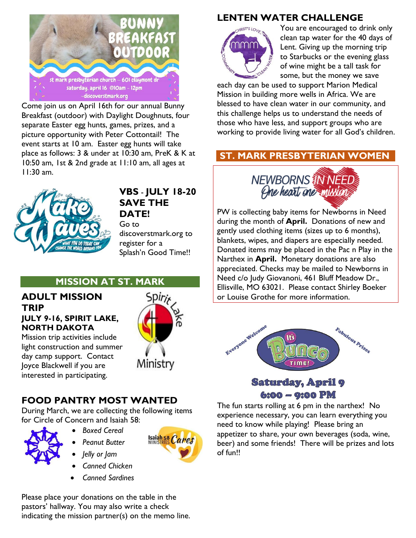

Come join us on April 16th for our annual Bunny Breakfast (outdoor) with Daylight Doughnuts, four separate Easter egg hunts, games, prizes, and a picture opportunity with Peter Cottontail! The event starts at 10 am. Easter egg hunts will take place as follows: 3 & under at 10:30 am, PreK & K at 10:50 am, 1st & 2nd grade at 11:10 am, all ages at 11:30 am.



#### **VBS** - **JULY 18-20 SAVE THE DATE!**

Go to discoverstmark.org to register for a Splash'n Good Time!!

## **MISSION AT ST. MARK**

#### **ADULT MISSION TRIP JULY 9-16, SPIRIT LAKE,**

**NORTH DAKOTA** Mission trip activities include

light construction and summer day camp support. Contact Joyce Blackwell if you are interested in participating.



# **FOOD PANTRY MOST WANTED**

During March, we are collecting the following items for Circle of Concern and Isaiah 58:



- *Boxed Cereal*
- *Peanut Butter*
- *Jelly or Jam*
- *Canned Chicken*
- *Canned Sardines*

Please place your donations on the table in the pastors' hallway. You may also write a check indicating the mission partner(s) on the memo line.

# **LENTEN WATER CHALLENGE**



You are encouraged to drink only clean tap water for the 40 days of Lent. Giving up the morning trip to Starbucks or the evening glass of wine might be a tall task for some, but the money we save

each day can be used to support Marion Medical Mission in building more wells in Africa. We are blessed to have clean water in our community, and this challenge helps us to understand the needs of those who have less, and support groups who are working to provide living water for all God's children.

# **ST. MARK PRESBYTERIAN WOMEN**



PW is collecting baby items for Newborns in Need during the month of **April.** Donations of new and gently used clothing items (sizes up to 6 months), blankets, wipes, and diapers are especially needed. Donated items may be placed in the Pac n Play in the Narthex in **April.** Monetary donations are also appreciated. Checks may be mailed to Newborns in Need c/o Judy Giovanoni, 461 Bluff Meadow Dr., Ellisville, MO 63021. Please contact Shirley Boeker or Louise Grothe for more information.



# **Saturday, April 9**  $6:00 - 9:00 PM$

The fun starts rolling at 6 pm in the narthex! No experience necessary, you can learn everything you need to know while playing! Please bring an appetizer to share, your own beverages (soda, wine, beer) and some friends! There will be prizes and lots of fun!!

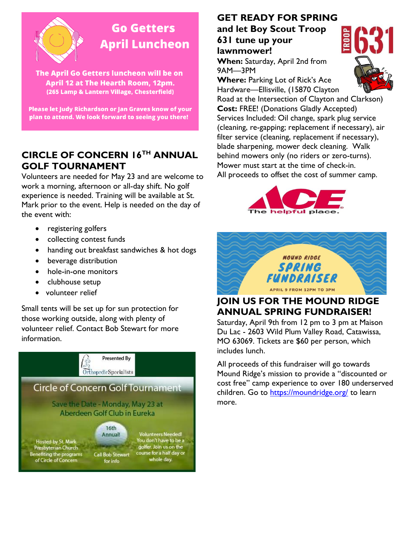

# **Go Getters April Luncheon**

The April Go Getters luncheon will be on April 12 at The Hearth Room, 12pm. (265 Lamp & Lantern Village, Chesterfield)

Please let Judy Richardson or Jan Graves know of your plan to attend. We look forward to seeing you there!

# **CIRCLE OF CONCERN 16TH ANNUAL GOLF TOURNAMENT**

Volunteers are needed for May 23 and are welcome to work a morning, afternoon or all-day shift. No golf experience is needed. Training will be available at St. Mark prior to the event. Help is needed on the day of the event with:

- registering golfers
- collecting contest funds
- handing out breakfast sandwiches & hot dogs
- beverage distribution
- hole-in-one monitors
- clubhouse setup
- volunteer relief

Small tents will be set up for sun protection for those working outside, along with plenty of volunteer relief. Contact Bob Stewart for more information.



## **GET READY FOR SPRING and let Boy Scout Troop**

**631 tune up your lawnmower!** 

**When:** Saturday, April 2nd from 9AM—3PM

**Where:** Parking Lot of Rick's Ace Hardware—Ellisville, (15870 Clayton



Road at the Intersection of Clayton and Clarkson) **Cost:** FREE! (Donations Gladly Accepted) Services Included: Oil change, spark plug service (cleaning, re-gapping; replacement if necessary), air filter service (cleaning, replacement if necessary), blade sharpening, mower deck cleaning. Walk behind mowers only (no riders or zero-turns). Mower must start at the time of check-in. All proceeds to offset the cost of summer camp.





# **JOIN US FOR THE MOUND RIDGE ANNUAL SPRING FUNDRAISER!**

Saturday, April 9th from 12 pm to 3 pm at Maison Du Lac - 2603 Wild Plum Valley Road, Catawissa, MO 63069. Tickets are \$60 per person, which includes lunch.

All proceeds of this fundraiser will go towards Mound Ridge's mission to provide a "discounted or cost free" camp experience to over 180 underserved children. Go to<https://moundridge.org/> to learn more.